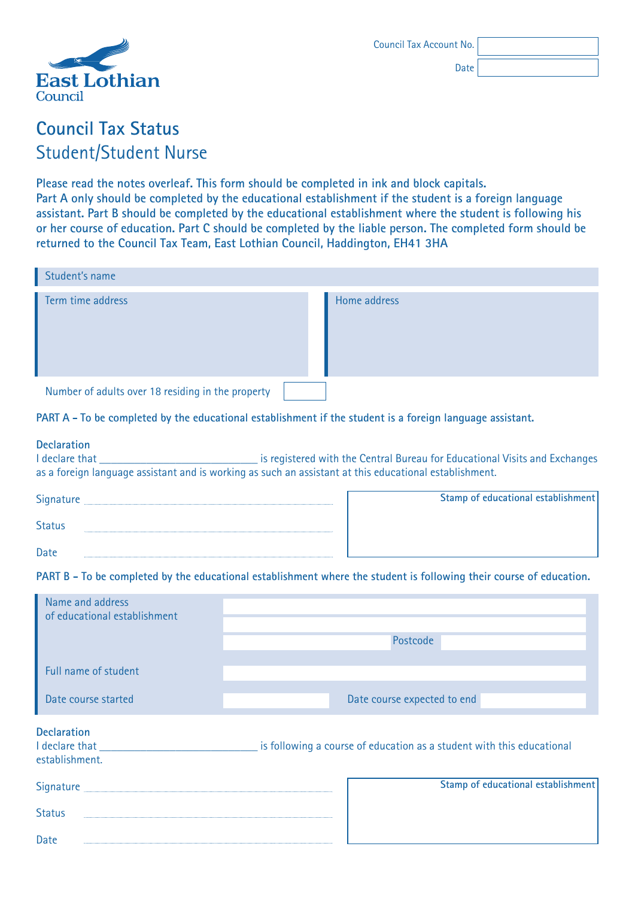

Date

# **Council Tax Status** Student/Student Nurse

**Please read the notes overleaf. This form should be completed in ink and block capitals. Part A only should be completed by the educational establishment if the student is a foreign language assistant. Part B should be completed by the educational establishment where the student is following his or her course of education. Part C should be completed by the liable person. The completed form should be returned to the Council Tax Team, East Lothian Council, Haddington, EH41 3HA**

| Student's name                                    |              |
|---------------------------------------------------|--------------|
| Term time address                                 | Home address |
| Number of adults over 18 residing in the property |              |

#### **PART A - To be completed by the educational establishment if the student is a foreign language assistant.**

# **Declaration**<br>**I** declare that I declare that that Central Bureau for Educational Visits and Exchanges as a foreign language assistant and is working as such an assistant at this educational establishment.

| Signature     |  |
|---------------|--|
| <b>Status</b> |  |
| Date          |  |

**Status** 

Date

| Stamp of educational establishment |
|------------------------------------|
|                                    |
|                                    |
|                                    |
|                                    |

#### **PART B - To be completed by the educational establishment where the student is following their course of education.**

| Name and address<br>of educational establishment       | Postcode                                                              |
|--------------------------------------------------------|-----------------------------------------------------------------------|
| Full name of student                                   |                                                                       |
| Date course started                                    | Date course expected to end                                           |
| <b>Declaration</b><br>I declare that<br>establishment. | is following a course of education as a student with this educational |
| Signature                                              | Stamp of educational establishment                                    |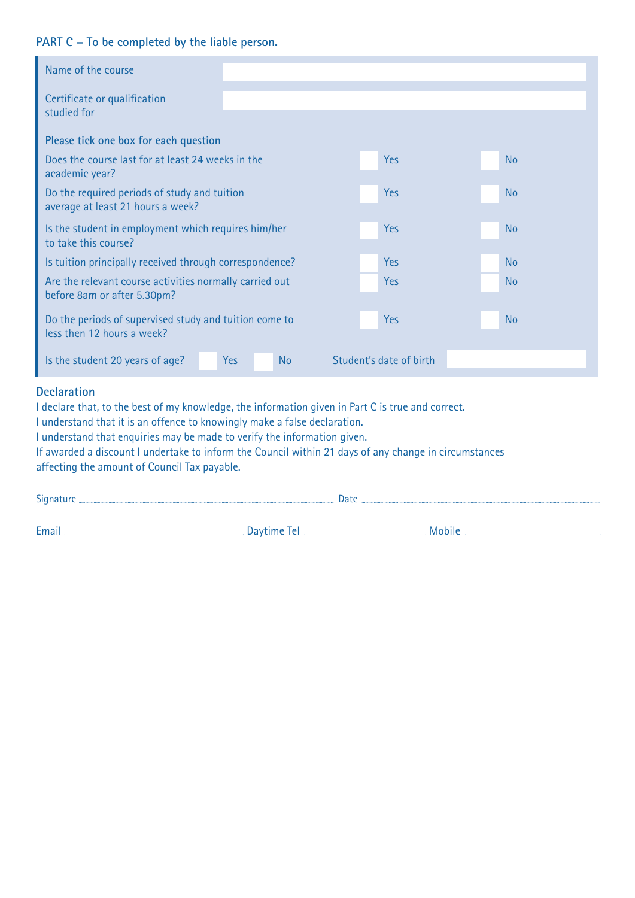## **PART C – To be completed by the liable person.**

| Name of the course                                                                                                      |                  |                         |           |
|-------------------------------------------------------------------------------------------------------------------------|------------------|-------------------------|-----------|
| Certificate or qualification<br>studied for                                                                             |                  |                         |           |
|                                                                                                                         |                  |                         |           |
| Please tick one box for each question                                                                                   |                  |                         |           |
| Does the course last for at least 24 weeks in the<br>academic year?                                                     |                  | <b>Yes</b>              | <b>No</b> |
| Do the required periods of study and tuition<br>average at least 21 hours a week?                                       |                  | Yes                     | <b>No</b> |
| Is the student in employment which requires him/her<br>to take this course?                                             |                  | <b>Yes</b>              | <b>No</b> |
| Is tuition principally received through correspondence?                                                                 |                  | <b>Yes</b>              | <b>No</b> |
| Are the relevant course activities normally carried out<br>before 8am or after 5.30pm?                                  |                  | <b>Yes</b>              | <b>No</b> |
| Do the periods of supervised study and tuition come to<br>less then 12 hours a week?                                    |                  | <b>Yes</b>              | <b>No</b> |
| Is the student 20 years of age?                                                                                         | <b>No</b><br>Yes | Student's date of birth |           |
| <b>Declaration</b><br>I declare that, to the best of my knowledge, the information given in Part C is true and correct. |                  |                         |           |

I understand that it is an offence to knowingly make a false declaration.

I understand that enquiries may be made to verify the information given.

If awarded a discount I undertake to inform the Council within 21 days of any change in circumstances affecting the amount of Council Tax payable.

| Signature            | Date |               |  |
|----------------------|------|---------------|--|
|                      |      |               |  |
| Email<br>Daytime Tel |      | <b>Mobile</b> |  |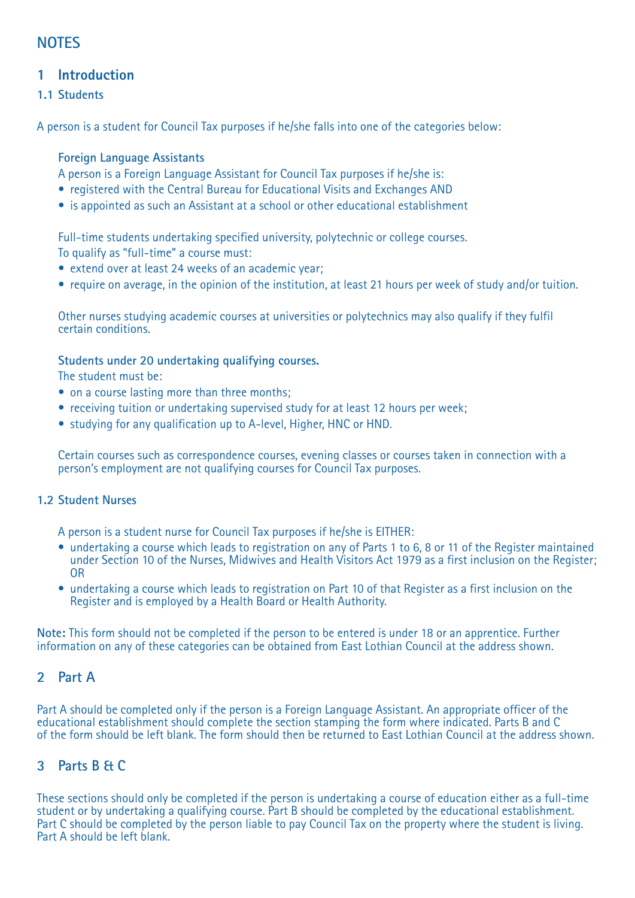# **NOTES**

# **1 Introduction**

### **1.1 Students**

A person is a student for Council Tax purposes if he/she falls into one of the categories below:

#### **Foreign Language Assistants**

A person is a Foreign Language Assistant for Council Tax purposes if he/she is:

- registered with the Central Bureau for Educational Visits and Exchanges AND
- is appointed as such an Assistant at a school or other educational establishment

Full-time students undertaking specified university, polytechnic or college courses. To qualify as "full-time" a course must:

- extend over at least 24 weeks of an academic year;
- require on average, in the opinion of the institution, at least 21 hours per week of study and/or tuition.

Other nurses studying academic courses at universities or polytechnics may also qualify if they fulfil certain conditions.

#### **Students under 20 undertaking qualifying courses.**

The student must be:

- on a course lasting more than three months:
- receiving tuition or undertaking supervised study for at least 12 hours per week;
- studying for any qualification up to A-level, Higher, HNC or HND.

Certain courses such as correspondence courses, evening classes or courses taken in connection with a person's employment are not qualifying courses for Council Tax purposes.

#### **1.2 Student Nurses**

A person is a student nurse for Council Tax purposes if he/she is EITHER:

- undertaking a course which leads to registration on any of Parts 1 to 6, 8 or 11 of the Register maintained under Section 10 of the Nurses, Midwives and Health Visitors Act 1979 as a first inclusion on the Register; OR
- undertaking a course which leads to registration on Part 10 of that Register as a first inclusion on the Register and is employed by a Health Board or Health Authority.

**Note:** This form should not be completed if the person to be entered is under 18 or an apprentice. Further information on any of these categories can be obtained from East Lothian Council at the address shown.

## **2 Part A**

Part A should be completed only if the person is a Foreign Language Assistant. An appropriate officer of the educational establishment should complete the section stamping the form where indicated. Parts B and C of the form should be left blank. The form should then be returned to East Lothian Council at the address shown.

# **3 Parts B & C**

These sections should only be completed if the person is undertaking a course of education either as a full-time student or by undertaking a qualifying course. Part B should be completed by the educational establishment. Part C should be completed by the person liable to pay Council Tax on the property where the student is living. Part A should be left blank.